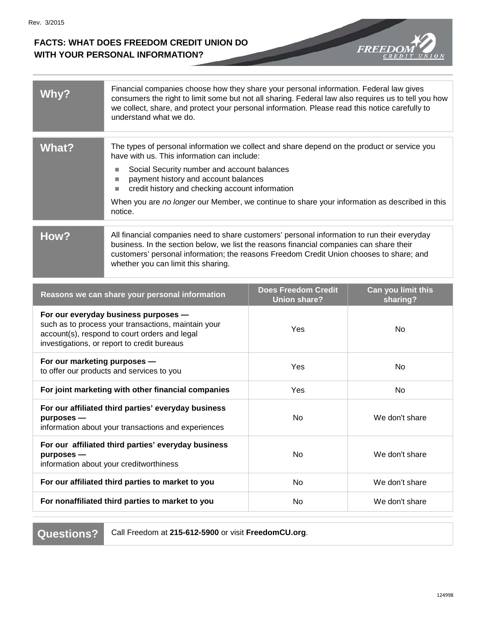## **FACTS: WHAT DOES FREEDOM CREDIT UNION DO WITH YOUR PERSONAL INFORMATION?**



| <b>WhV</b> | Financial companies choose how they share your personal information. Federal law gives<br>consumers the right to limit some but not all sharing. Federal law also requires us to tell you how<br>we collect, share, and protect your personal information. Please read this notice carefully to<br>understand what we do.                                                                        |
|------------|--------------------------------------------------------------------------------------------------------------------------------------------------------------------------------------------------------------------------------------------------------------------------------------------------------------------------------------------------------------------------------------------------|
| What?      | The types of personal information we collect and share depend on the product or service you<br>have with us. This information can include:<br>Social Security number and account balances<br>payment history and account balances<br>credit history and checking account information<br>When you are no longer our Member, we continue to share your information as described in this<br>notice. |
| How?       | All financial companies need to share customers' personal information to run their everyday<br>business. In the section below, we list the reasons financial companies can share their<br>customers' personal information; the reasons Freedom Credit Union chooses to share; and<br>whether you can limit this sharing.                                                                         |

| Reasons we can share your personal information                                                                                                                                              | <b>Does Freedom Credit</b><br><b>Union share?</b> | Can you limit this<br>sharing? |
|---------------------------------------------------------------------------------------------------------------------------------------------------------------------------------------------|---------------------------------------------------|--------------------------------|
| For our everyday business purposes -<br>such as to process your transactions, maintain your<br>account(s), respond to court orders and legal<br>investigations, or report to credit bureaus | Yes                                               | No.                            |
| For our marketing purposes -<br>to offer our products and services to you                                                                                                                   | Yes                                               | No.                            |
| For joint marketing with other financial companies                                                                                                                                          | Yes                                               | No                             |
| For our affiliated third parties' everyday business<br>$p$ urposes —<br>information about your transactions and experiences                                                                 | No                                                | We don't share                 |
| For our affiliated third parties' everyday business<br>$p$ urposes —<br>information about your creditworthiness                                                                             | <b>No</b>                                         | We don't share                 |
| For our affiliated third parties to market to you                                                                                                                                           | <b>No</b>                                         | We don't share                 |
| For nonaffiliated third parties to market to you                                                                                                                                            | No                                                | We don't share                 |

**Questions?** Call Freedom at **215-612-5900** or visit **FreedomCU.org**.